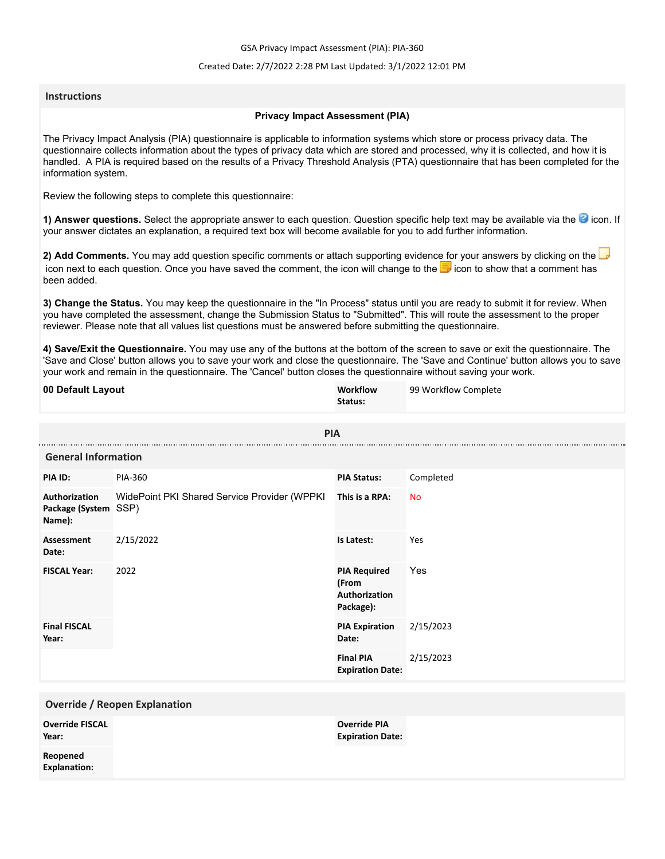GSA Privacy Impact Assessment (PIA): PIA-360

### Created Date: 2/7/2022 2:28 PM Last Updated: 3/1/2022 12:01 PM

### **Instructions**

### **Privacy Impact Assessment (PIA)**

The Privacy Impact Analysis (PIA) questionnaire is applicable to information systems which store or process privacy data. The questionnaire collects information about the types of privacy data which are stored and processed, why it is collected, and how it is handled. A PIA is required based on the results of a Privacy Threshold Analysis (PTA) questionnaire that has been completed for the information system.

Review the following steps to complete this questionnaire:

1) Answer questions. Select the appropriate answer to each question. Question specific help text may be available via the <sup>3</sup> icon. If your answer dictates an explanation, a required text box will become available for you to add further information.

**2) Add Comments.** You may add question specific comments or attach supporting evidence for your answers by clicking on the icon next to each question. Once you have saved the comment, the icon will change to the **i** icon to show that a comment has been added.

**3) Change the Status.** You may keep the questionnaire in the "In Process" status until you are ready to submit it for review. When you have completed the assessment, change the Submission Status to "Submitted". This will route the assessment to the proper reviewer. Please note that all values list questions must be answered before submitting the questionnaire.

**4) Save/Exit the Questionnaire.** You may use any of the buttons at the bottom of the screen to save or exit the questionnaire. The 'Save and Close' button allows you to save your work and close the questionnaire. The 'Save and Continue' button allows you to save your work and remain in the questionnaire. The 'Cancel' button closes the questionnaire without saving your work.

| 00 Default Layout                               |                                              | Workflow<br>Status:                                        | 99 Workflow Complete |  |
|-------------------------------------------------|----------------------------------------------|------------------------------------------------------------|----------------------|--|
|                                                 | <b>PIA</b>                                   |                                                            |                      |  |
| <b>General Information</b>                      |                                              |                                                            |                      |  |
| PIA ID:                                         | PIA-360                                      | <b>PIA Status:</b>                                         | Completed            |  |
| Authorization<br>Package (System SSP)<br>Name): | WidePoint PKI Shared Service Provider (WPPKI | This is a RPA:                                             | <b>No</b>            |  |
| <b>Assessment</b><br>Date:                      | 2/15/2022                                    | Is Latest:                                                 | Yes                  |  |
| <b>FISCAL Year:</b>                             | 2022                                         | <b>PIA Required</b><br>(From<br>Authorization<br>Package): | Yes                  |  |
| <b>Final FISCAL</b><br>Year:                    |                                              | <b>PIA Expiration</b><br>Date:                             | 2/15/2023            |  |
|                                                 |                                              | <b>Final PIA</b><br><b>Expiration Date:</b>                | 2/15/2023            |  |
| <b>Override / Reopen Explanation</b>            |                                              |                                                            |                      |  |
| <b>Override FISCAL</b><br>Year:                 |                                              | <b>Override PIA</b><br><b>Expiration Date:</b>             |                      |  |
| Reopened<br><b>Explanation:</b>                 |                                              |                                                            |                      |  |
|                                                 |                                              |                                                            |                      |  |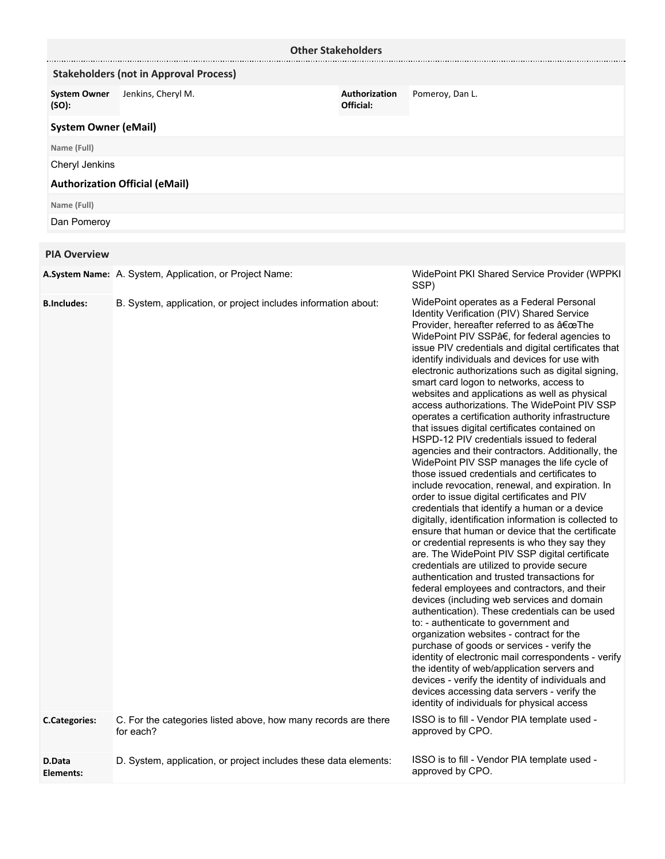|                                            |                                                                                                                                  | <b>Other Stakeholders</b>  |                                                                                                                                                                                                                                                                                                                                                                                                                                                                                                                                                                                                                                                                                                                                                                                                                                                                                                                                                                                                                                                                                                                                                                                                                                                                                                                                                                                                                                                                                                                                                                                                                                                                                                                                                                                                                                                              |
|--------------------------------------------|----------------------------------------------------------------------------------------------------------------------------------|----------------------------|--------------------------------------------------------------------------------------------------------------------------------------------------------------------------------------------------------------------------------------------------------------------------------------------------------------------------------------------------------------------------------------------------------------------------------------------------------------------------------------------------------------------------------------------------------------------------------------------------------------------------------------------------------------------------------------------------------------------------------------------------------------------------------------------------------------------------------------------------------------------------------------------------------------------------------------------------------------------------------------------------------------------------------------------------------------------------------------------------------------------------------------------------------------------------------------------------------------------------------------------------------------------------------------------------------------------------------------------------------------------------------------------------------------------------------------------------------------------------------------------------------------------------------------------------------------------------------------------------------------------------------------------------------------------------------------------------------------------------------------------------------------------------------------------------------------------------------------------------------------|
|                                            | <b>Stakeholders (not in Approval Process)</b>                                                                                    |                            |                                                                                                                                                                                                                                                                                                                                                                                                                                                                                                                                                                                                                                                                                                                                                                                                                                                                                                                                                                                                                                                                                                                                                                                                                                                                                                                                                                                                                                                                                                                                                                                                                                                                                                                                                                                                                                                              |
| <b>System Owner</b><br>(SO):               | Jenkins, Cheryl M.                                                                                                               | Authorization<br>Official: | Pomeroy, Dan L.                                                                                                                                                                                                                                                                                                                                                                                                                                                                                                                                                                                                                                                                                                                                                                                                                                                                                                                                                                                                                                                                                                                                                                                                                                                                                                                                                                                                                                                                                                                                                                                                                                                                                                                                                                                                                                              |
| <b>System Owner (eMail)</b>                |                                                                                                                                  |                            |                                                                                                                                                                                                                                                                                                                                                                                                                                                                                                                                                                                                                                                                                                                                                                                                                                                                                                                                                                                                                                                                                                                                                                                                                                                                                                                                                                                                                                                                                                                                                                                                                                                                                                                                                                                                                                                              |
| Name (Full)                                |                                                                                                                                  |                            |                                                                                                                                                                                                                                                                                                                                                                                                                                                                                                                                                                                                                                                                                                                                                                                                                                                                                                                                                                                                                                                                                                                                                                                                                                                                                                                                                                                                                                                                                                                                                                                                                                                                                                                                                                                                                                                              |
| Cheryl Jenkins                             |                                                                                                                                  |                            |                                                                                                                                                                                                                                                                                                                                                                                                                                                                                                                                                                                                                                                                                                                                                                                                                                                                                                                                                                                                                                                                                                                                                                                                                                                                                                                                                                                                                                                                                                                                                                                                                                                                                                                                                                                                                                                              |
|                                            | <b>Authorization Official (eMail)</b>                                                                                            |                            |                                                                                                                                                                                                                                                                                                                                                                                                                                                                                                                                                                                                                                                                                                                                                                                                                                                                                                                                                                                                                                                                                                                                                                                                                                                                                                                                                                                                                                                                                                                                                                                                                                                                                                                                                                                                                                                              |
| Name (Full)                                |                                                                                                                                  |                            |                                                                                                                                                                                                                                                                                                                                                                                                                                                                                                                                                                                                                                                                                                                                                                                                                                                                                                                                                                                                                                                                                                                                                                                                                                                                                                                                                                                                                                                                                                                                                                                                                                                                                                                                                                                                                                                              |
| Dan Pomeroy                                |                                                                                                                                  |                            |                                                                                                                                                                                                                                                                                                                                                                                                                                                                                                                                                                                                                                                                                                                                                                                                                                                                                                                                                                                                                                                                                                                                                                                                                                                                                                                                                                                                                                                                                                                                                                                                                                                                                                                                                                                                                                                              |
|                                            |                                                                                                                                  |                            |                                                                                                                                                                                                                                                                                                                                                                                                                                                                                                                                                                                                                                                                                                                                                                                                                                                                                                                                                                                                                                                                                                                                                                                                                                                                                                                                                                                                                                                                                                                                                                                                                                                                                                                                                                                                                                                              |
| <b>PIA Overview</b>                        |                                                                                                                                  |                            |                                                                                                                                                                                                                                                                                                                                                                                                                                                                                                                                                                                                                                                                                                                                                                                                                                                                                                                                                                                                                                                                                                                                                                                                                                                                                                                                                                                                                                                                                                                                                                                                                                                                                                                                                                                                                                                              |
|                                            | A.System Name: A. System, Application, or Project Name:                                                                          |                            | WidePoint PKI Shared Service Provider (WPPKI<br>SSP)                                                                                                                                                                                                                                                                                                                                                                                                                                                                                                                                                                                                                                                                                                                                                                                                                                                                                                                                                                                                                                                                                                                                                                                                                                                                                                                                                                                                                                                                                                                                                                                                                                                                                                                                                                                                         |
| <b>B.Includes:</b><br><b>C.Categories:</b> | B. System, application, or project includes information about:<br>C. For the categories listed above, how many records are there |                            | WidePoint operates as a Federal Personal<br>Identity Verification (PIV) Shared Service<br>Provider, hereafter referred to as "The<br>WidePoint PIV SSPâ€, for federal agencies to<br>issue PIV credentials and digital certificates that<br>identify individuals and devices for use with<br>electronic authorizations such as digital signing,<br>smart card logon to networks, access to<br>websites and applications as well as physical<br>access authorizations. The WidePoint PIV SSP<br>operates a certification authority infrastructure<br>that issues digital certificates contained on<br>HSPD-12 PIV credentials issued to federal<br>agencies and their contractors. Additionally, the<br>WidePoint PIV SSP manages the life cycle of<br>those issued credentials and certificates to<br>include revocation, renewal, and expiration. In<br>order to issue digital certificates and PIV<br>credentials that identify a human or a device<br>digitally, identification information is collected to<br>ensure that human or device that the certificate<br>or credential represents is who they say they<br>are. The WidePoint PIV SSP digital certificate<br>credentials are utilized to provide secure<br>authentication and trusted transactions for<br>federal employees and contractors, and their<br>devices (including web services and domain<br>authentication). These credentials can be used<br>to: - authenticate to government and<br>organization websites - contract for the<br>purchase of goods or services - verify the<br>identity of electronic mail correspondents - verify<br>the identity of web/application servers and<br>devices - verify the identity of individuals and<br>devices accessing data servers - verify the<br>identity of individuals for physical access<br>ISSO is to fill - Vendor PIA template used - |
|                                            | for each?                                                                                                                        |                            | approved by CPO.                                                                                                                                                                                                                                                                                                                                                                                                                                                                                                                                                                                                                                                                                                                                                                                                                                                                                                                                                                                                                                                                                                                                                                                                                                                                                                                                                                                                                                                                                                                                                                                                                                                                                                                                                                                                                                             |
| D.Data                                     | D. System, application, or project includes these data elements:                                                                 |                            | ISSO is to fill - Vendor PIA template used -                                                                                                                                                                                                                                                                                                                                                                                                                                                                                                                                                                                                                                                                                                                                                                                                                                                                                                                                                                                                                                                                                                                                                                                                                                                                                                                                                                                                                                                                                                                                                                                                                                                                                                                                                                                                                 |

**Elements:**

approved by CPO.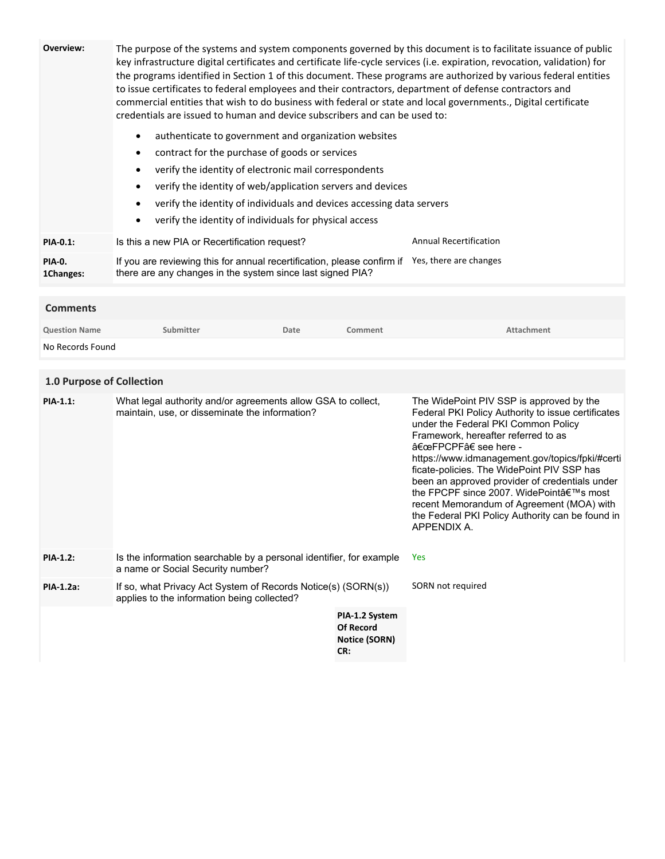| Overview:                  | credentials are issued to human and device subscribers and can be used to:<br>authenticate to government and organization websites<br>$\bullet$<br>contract for the purchase of goods or services<br>٠<br>verify the identity of electronic mail correspondents<br>٠<br>verify the identity of web/application servers and devices<br>٠<br>verify the identity of individuals and devices accessing data servers<br>$\bullet$<br>verify the identity of individuals for physical access<br>٠ |      |                                                                   | The purpose of the systems and system components governed by this document is to facilitate issuance of public<br>key infrastructure digital certificates and certificate life-cycle services (i.e. expiration, revocation, validation) for<br>the programs identified in Section 1 of this document. These programs are authorized by various federal entities<br>to issue certificates to federal employees and their contractors, department of defense contractors and<br>commercial entities that wish to do business with federal or state and local governments., Digital certificate |
|----------------------------|----------------------------------------------------------------------------------------------------------------------------------------------------------------------------------------------------------------------------------------------------------------------------------------------------------------------------------------------------------------------------------------------------------------------------------------------------------------------------------------------|------|-------------------------------------------------------------------|----------------------------------------------------------------------------------------------------------------------------------------------------------------------------------------------------------------------------------------------------------------------------------------------------------------------------------------------------------------------------------------------------------------------------------------------------------------------------------------------------------------------------------------------------------------------------------------------|
| PIA-0.1:                   | Is this a new PIA or Recertification request?                                                                                                                                                                                                                                                                                                                                                                                                                                                |      |                                                                   | <b>Annual Recertification</b>                                                                                                                                                                                                                                                                                                                                                                                                                                                                                                                                                                |
| <b>PIA-0.</b><br>1Changes: | If you are reviewing this for annual recertification, please confirm if Yes, there are changes<br>there are any changes in the system since last signed PIA?                                                                                                                                                                                                                                                                                                                                 |      |                                                                   |                                                                                                                                                                                                                                                                                                                                                                                                                                                                                                                                                                                              |
| <b>Comments</b>            |                                                                                                                                                                                                                                                                                                                                                                                                                                                                                              |      |                                                                   |                                                                                                                                                                                                                                                                                                                                                                                                                                                                                                                                                                                              |
| <b>Question Name</b>       | Submitter                                                                                                                                                                                                                                                                                                                                                                                                                                                                                    | Date | Comment                                                           | Attachment                                                                                                                                                                                                                                                                                                                                                                                                                                                                                                                                                                                   |
| No Records Found           |                                                                                                                                                                                                                                                                                                                                                                                                                                                                                              |      |                                                                   |                                                                                                                                                                                                                                                                                                                                                                                                                                                                                                                                                                                              |
|                            |                                                                                                                                                                                                                                                                                                                                                                                                                                                                                              |      |                                                                   |                                                                                                                                                                                                                                                                                                                                                                                                                                                                                                                                                                                              |
| 1.0 Purpose of Collection  |                                                                                                                                                                                                                                                                                                                                                                                                                                                                                              |      |                                                                   |                                                                                                                                                                                                                                                                                                                                                                                                                                                                                                                                                                                              |
| <b>PIA-1.1:</b>            | What legal authority and/or agreements allow GSA to collect,<br>maintain, use, or disseminate the information?                                                                                                                                                                                                                                                                                                                                                                               |      |                                                                   | The WidePoint PIV SSP is approved by the<br>Federal PKI Policy Authority to issue certificates<br>under the Federal PKI Common Policy<br>Framework, hereafter referred to as<br>"FPCPF†see here -<br>https://www.idmanagement.gov/topics/fpki/#certi<br>ficate-policies. The WidePoint PIV SSP has<br>been an approved provider of credentials under<br>the FPCPF since 2007. WidePoint's most<br>recent Memorandum of Agreement (MOA) with<br>the Federal PKI Policy Authority can be found in<br>APPENDIX A.                                                                               |
| <b>PIA-1.2:</b>            | Is the information searchable by a personal identifier, for example<br>a name or Social Security number?                                                                                                                                                                                                                                                                                                                                                                                     |      |                                                                   | Yes                                                                                                                                                                                                                                                                                                                                                                                                                                                                                                                                                                                          |
| PIA-1.2a:                  | If so, what Privacy Act System of Records Notice(s) (SORN(s))<br>applies to the information being collected?                                                                                                                                                                                                                                                                                                                                                                                 |      |                                                                   | SORN not required                                                                                                                                                                                                                                                                                                                                                                                                                                                                                                                                                                            |
|                            |                                                                                                                                                                                                                                                                                                                                                                                                                                                                                              |      | PIA-1.2 System<br><b>Of Record</b><br><b>Notice (SORN)</b><br>CR: |                                                                                                                                                                                                                                                                                                                                                                                                                                                                                                                                                                                              |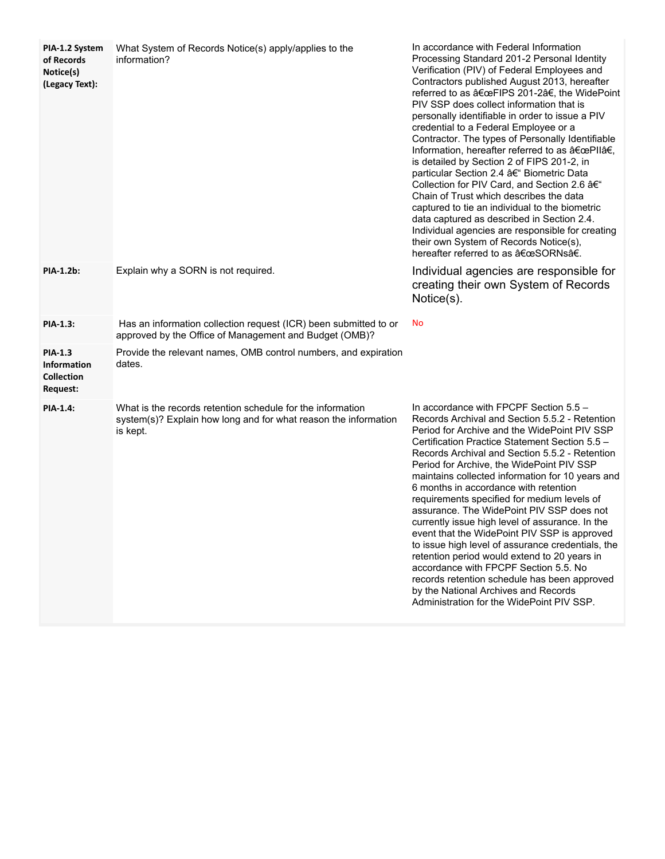| PIA-1.2 System<br>of Records<br>Notice(s)<br>(Legacy Text):    | What System of Records Notice(s) apply/applies to the<br>information?                                                                     | In accordance with Federal Information<br>Processing Standard 201-2 Personal Identity<br>Verification (PIV) of Federal Employees and<br>Contractors published August 2013, hereafter<br>referred to as "FIPS 201-2â€, the WidePoint<br>PIV SSP does collect information that is<br>personally identifiable in order to issue a PIV<br>credential to a Federal Employee or a<br>Contractor. The types of Personally Identifiable<br>Information, hereafter referred to as "PIIâ€,<br>is detailed by Section 2 of FIPS 201-2, in<br>particular Section 2.4 – Biometric Data<br>Collection for PIV Card, and Section 2.6 –<br>Chain of Trust which describes the data<br>captured to tie an individual to the biometric<br>data captured as described in Section 2.4.<br>Individual agencies are responsible for creating<br>their own System of Records Notice(s),<br>hereafter referred to as "SORNsâ€. |
|----------------------------------------------------------------|-------------------------------------------------------------------------------------------------------------------------------------------|--------------------------------------------------------------------------------------------------------------------------------------------------------------------------------------------------------------------------------------------------------------------------------------------------------------------------------------------------------------------------------------------------------------------------------------------------------------------------------------------------------------------------------------------------------------------------------------------------------------------------------------------------------------------------------------------------------------------------------------------------------------------------------------------------------------------------------------------------------------------------------------------------------|
| <b>PIA-1.2b:</b>                                               | Explain why a SORN is not required.                                                                                                       | Individual agencies are responsible for<br>creating their own System of Records<br>Notice(s).                                                                                                                                                                                                                                                                                                                                                                                                                                                                                                                                                                                                                                                                                                                                                                                                          |
| <b>PIA-1.3:</b>                                                | Has an information collection request (ICR) been submitted to or<br>approved by the Office of Management and Budget (OMB)?                | <b>No</b>                                                                                                                                                                                                                                                                                                                                                                                                                                                                                                                                                                                                                                                                                                                                                                                                                                                                                              |
| <b>PIA-1.3</b><br><b>Information</b><br>Collection<br>Request: | Provide the relevant names, OMB control numbers, and expiration<br>dates.                                                                 |                                                                                                                                                                                                                                                                                                                                                                                                                                                                                                                                                                                                                                                                                                                                                                                                                                                                                                        |
| <b>PIA-1.4:</b>                                                | What is the records retention schedule for the information<br>system(s)? Explain how long and for what reason the information<br>is kept. | In accordance with FPCPF Section 5.5 -<br>Records Archival and Section 5.5.2 - Retention<br>Period for Archive and the WidePoint PIV SSP<br>Certification Practice Statement Section 5.5 -<br>Records Archival and Section 5.5.2 - Retention<br>Period for Archive, the WidePoint PIV SSP<br>maintains collected information for 10 years and<br>6 months in accordance with retention<br>requirements specified for medium levels of<br>assurance. The WidePoint PIV SSP does not<br>currently issue high level of assurance. In the<br>event that the WidePoint PIV SSP is approved<br>to issue high level of assurance credentials, the<br>retention period would extend to 20 years in<br>accordance with FPCPF Section 5.5. No<br>records retention schedule has been approved<br>by the National Archives and Records<br>Administration for the WidePoint PIV SSP.                               |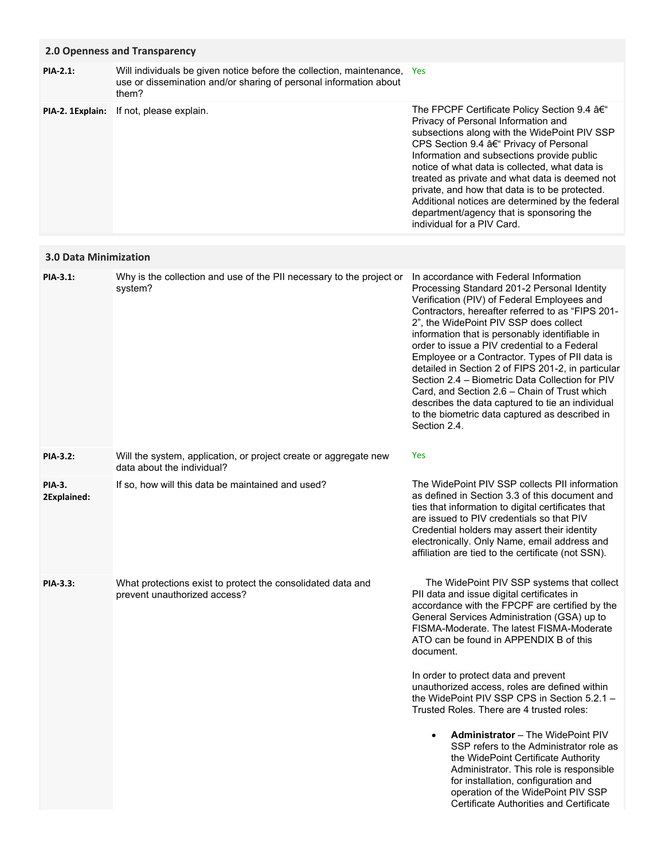## **2.0 Openness and Transparency**

The FPCPF Certificate Policy Section 9.4 – Privacy of Personal Information and subsections along with the WidePoint PIV SSP CPS Section 9.4 a€ Privacy of Personal Information and subsections provide public notice of what data is collected, what data is treated as private and what data is deemed not private, and how that data is to be protected. **PIA-2. 1Explain:** If not, please explain. Will individuals be given notice before the collection, maintenance, Yes use or dissemination and/or sharing of personal information about them? **PIA-2.1:**

# **3.0 Data Minimization**

| PIA-3.1:                     | Why is the collection and use of the PII necessary to the project or<br>system?                | In accordance with Federal Information<br>Processing Standard 201-2 Personal Identity<br>Verification (PIV) of Federal Employees and<br>Contractors, hereafter referred to as "FIPS 201-<br>2", the WidePoint PIV SSP does collect<br>information that is personably identifiable in<br>order to issue a PIV credential to a Federal<br>Employee or a Contractor. Types of PII data is<br>detailed in Section 2 of FIPS 201-2, in particular<br>Section 2.4 – Biometric Data Collection for PIV<br>Card, and Section 2.6 – Chain of Trust which<br>describes the data captured to tie an individual<br>to the biometric data captured as described in |
|------------------------------|------------------------------------------------------------------------------------------------|-------------------------------------------------------------------------------------------------------------------------------------------------------------------------------------------------------------------------------------------------------------------------------------------------------------------------------------------------------------------------------------------------------------------------------------------------------------------------------------------------------------------------------------------------------------------------------------------------------------------------------------------------------|
|                              |                                                                                                | Section 2.4.                                                                                                                                                                                                                                                                                                                                                                                                                                                                                                                                                                                                                                          |
| <b>PIA-3.2:</b>              | Will the system, application, or project create or aggregate new<br>data about the individual? | <b>Yes</b>                                                                                                                                                                                                                                                                                                                                                                                                                                                                                                                                                                                                                                            |
| <b>PIA-3.</b><br>2Explained: | If so, how will this data be maintained and used?                                              | The WidePoint PIV SSP collects PII information<br>as defined in Section 3.3 of this document and<br>ties that information to digital certificates that<br>are issued to PIV credentials so that PIV<br>Credential holders may assert their identity<br>electronically. Only Name, email address and<br>affiliation are tied to the certificate (not SSN).                                                                                                                                                                                                                                                                                             |
| <b>PIA-3.3:</b>              | What protections exist to protect the consolidated data and<br>prevent unauthorized access?    | The WidePoint PIV SSP systems that collect<br>PII data and issue digital certificates in<br>accordance with the FPCPF are certified by the<br>General Services Administration (GSA) up to<br>FISMA-Moderate. The latest FISMA-Moderate<br>ATO can be found in APPENDIX B of this<br>document.<br>In order to protect data and prevent                                                                                                                                                                                                                                                                                                                 |
|                              |                                                                                                | unauthorized access, roles are defined within<br>the WidePoint PIV SSP CPS in Section 5.2.1 -<br>Trusted Roles. There are 4 trusted roles:                                                                                                                                                                                                                                                                                                                                                                                                                                                                                                            |
|                              |                                                                                                | <b>Administrator</b> – The WidePoint PIV<br>$\bullet$<br>SSP refers to the Administrator role as<br>the WidePoint Certificate Authority<br>Administrator. This role is responsible<br>for installation, configuration and                                                                                                                                                                                                                                                                                                                                                                                                                             |

operation of the WidePoint PIV SSP Certificate Authorities and Certificate

Additional notices are determined by the federal department/agency that is sponsoring the

individual for a PIV Card.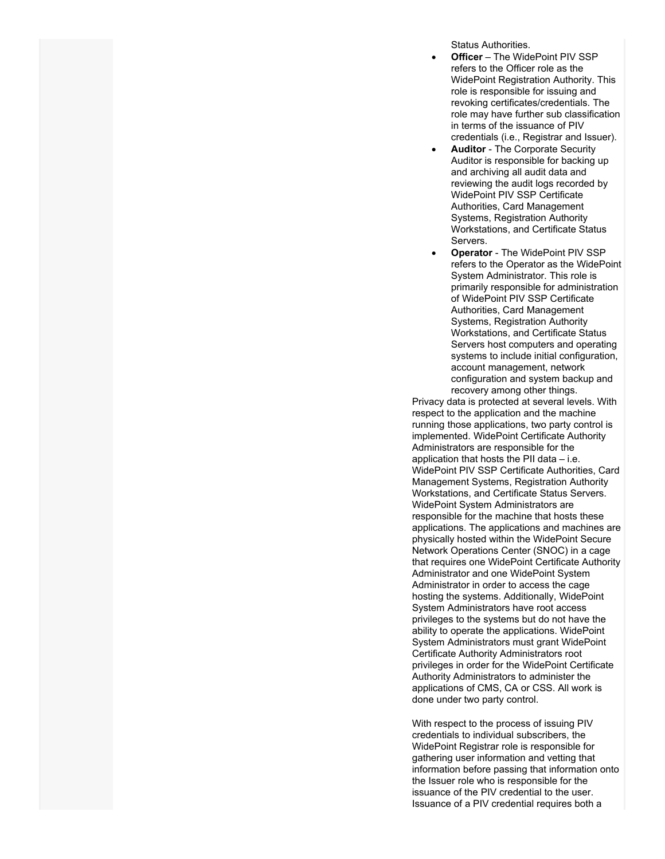Status Authorities.

- **Officer** The WidePoint PIV SSP refers to the Officer role as the WidePoint Registration Authority. This role is responsible for issuing and revoking certificates/credentials. The role may have further sub classification in terms of the issuance of PIV credentials (i.e., Registrar and Issuer).
- **Auditor** The Corporate Security Auditor is responsible for backing up and archiving all audit data and reviewing the audit logs recorded by WidePoint PIV SSP Certificate Authorities, Card Management Systems, Registration Authority Workstations, and Certificate Status Servers.
- **Operator** The WidePoint PIV SSP refers to the Operator as the WidePoint System Administrator. This role is primarily responsible for administration of WidePoint PIV SSP Certificate Authorities, Card Management Systems, Registration Authority Workstations, and Certificate Status Servers host computers and operating systems to include initial configuration, account management, network configuration and system backup and recovery among other things.

Privacy data is protected at several levels. With respect to the application and the machine running those applications, two party control is implemented. WidePoint Certificate Authority Administrators are responsible for the application that hosts the PII data – i.e. WidePoint PIV SSP Certificate Authorities, Card Management Systems, Registration Authority Workstations, and Certificate Status Servers. WidePoint System Administrators are responsible for the machine that hosts these applications. The applications and machines are physically hosted within the WidePoint Secure Network Operations Center (SNOC) in a cage that requires one WidePoint Certificate Authority Administrator and one WidePoint System Administrator in order to access the cage hosting the systems. Additionally, WidePoint System Administrators have root access privileges to the systems but do not have the ability to operate the applications. WidePoint System Administrators must grant WidePoint Certificate Authority Administrators root privileges in order for the WidePoint Certificate Authority Administrators to administer the applications of CMS, CA or CSS. All work is done under two party control.

With respect to the process of issuing PIV credentials to individual subscribers, the WidePoint Registrar role is responsible for gathering user information and vetting that information before passing that information onto the Issuer role who is responsible for the issuance of the PIV credential to the user. Issuance of a PIV credential requires both a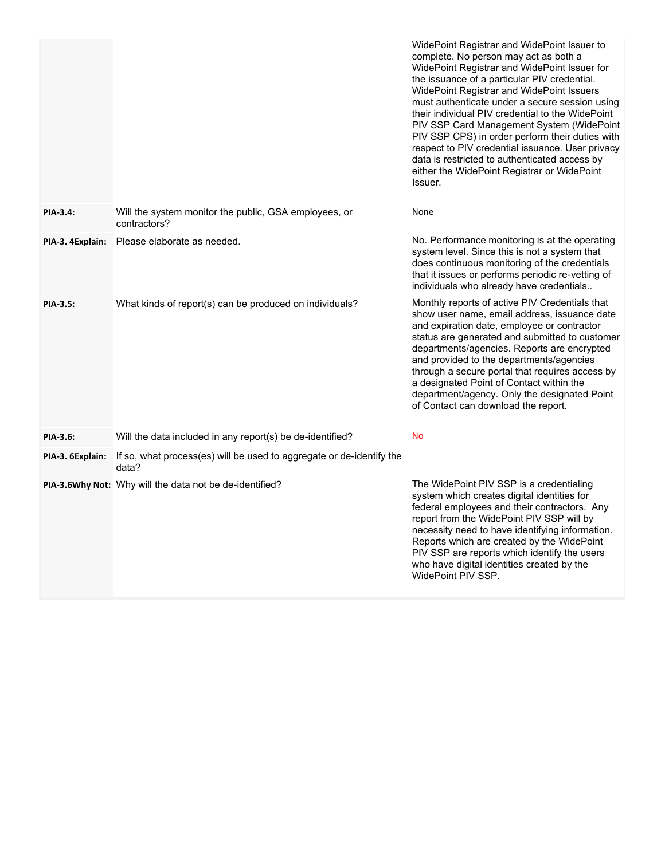|                  |                                                                               | WidePoint Registrar and WidePoint Issuer to<br>complete. No person may act as both a<br>WidePoint Registrar and WidePoint Issuer for<br>the issuance of a particular PIV credential.<br>WidePoint Registrar and WidePoint Issuers<br>must authenticate under a secure session using<br>their individual PIV credential to the WidePoint<br>PIV SSP Card Management System (WidePoint<br>PIV SSP CPS) in order perform their duties with<br>respect to PIV credential issuance. User privacy<br>data is restricted to authenticated access by<br>either the WidePoint Registrar or WidePoint<br>Issuer. |
|------------------|-------------------------------------------------------------------------------|--------------------------------------------------------------------------------------------------------------------------------------------------------------------------------------------------------------------------------------------------------------------------------------------------------------------------------------------------------------------------------------------------------------------------------------------------------------------------------------------------------------------------------------------------------------------------------------------------------|
| <b>PIA-3.4:</b>  | Will the system monitor the public, GSA employees, or<br>contractors?         | None                                                                                                                                                                                                                                                                                                                                                                                                                                                                                                                                                                                                   |
| PIA-3. 4Explain: | Please elaborate as needed.                                                   | No. Performance monitoring is at the operating<br>system level. Since this is not a system that<br>does continuous monitoring of the credentials<br>that it issues or performs periodic re-vetting of<br>individuals who already have credentials                                                                                                                                                                                                                                                                                                                                                      |
| <b>PIA-3.5:</b>  | What kinds of report(s) can be produced on individuals?                       | Monthly reports of active PIV Credentials that<br>show user name, email address, issuance date<br>and expiration date, employee or contractor<br>status are generated and submitted to customer<br>departments/agencies. Reports are encrypted<br>and provided to the departments/agencies<br>through a secure portal that requires access by<br>a designated Point of Contact within the<br>department/agency. Only the designated Point<br>of Contact can download the report.                                                                                                                       |
| PIA-3.6:         | Will the data included in any report(s) be de-identified?                     | <b>No</b>                                                                                                                                                                                                                                                                                                                                                                                                                                                                                                                                                                                              |
| PIA-3. 6Explain: | If so, what process(es) will be used to aggregate or de-identify the<br>data? |                                                                                                                                                                                                                                                                                                                                                                                                                                                                                                                                                                                                        |
|                  | PIA-3.6Why Not: Why will the data not be de-identified?                       | The WidePoint PIV SSP is a credentialing<br>system which creates digital identities for<br>federal employees and their contractors. Any<br>report from the WidePoint PIV SSP will by<br>necessity need to have identifying information.<br>Reports which are created by the WidePoint<br>PIV SSP are reports which identify the users<br>who have digital identities created by the<br>WidePoint PIV SSP.                                                                                                                                                                                              |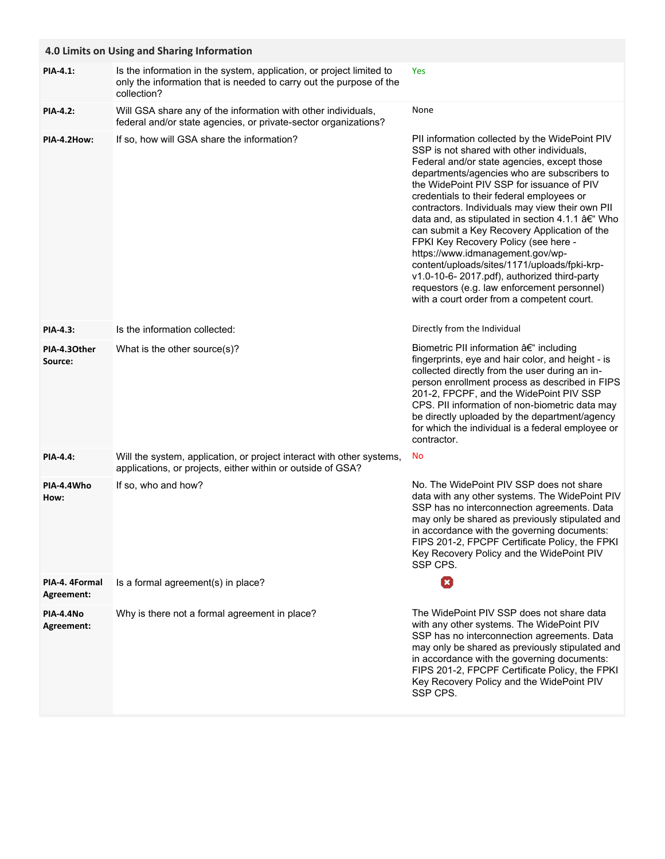|                              | 4.0 Limits on Using and Sharing Information                                                                                                                |                                                                                                                                                                                                                                                                                                                                                                                                                                                                                                                                                                                                                                                                                                                 |  |  |
|------------------------------|------------------------------------------------------------------------------------------------------------------------------------------------------------|-----------------------------------------------------------------------------------------------------------------------------------------------------------------------------------------------------------------------------------------------------------------------------------------------------------------------------------------------------------------------------------------------------------------------------------------------------------------------------------------------------------------------------------------------------------------------------------------------------------------------------------------------------------------------------------------------------------------|--|--|
| <b>PIA-4.1:</b>              | Is the information in the system, application, or project limited to<br>only the information that is needed to carry out the purpose of the<br>collection? | Yes                                                                                                                                                                                                                                                                                                                                                                                                                                                                                                                                                                                                                                                                                                             |  |  |
| <b>PIA-4.2:</b>              | Will GSA share any of the information with other individuals,<br>federal and/or state agencies, or private-sector organizations?                           | None                                                                                                                                                                                                                                                                                                                                                                                                                                                                                                                                                                                                                                                                                                            |  |  |
| PIA-4.2How:                  | If so, how will GSA share the information?                                                                                                                 | PII information collected by the WidePoint PIV<br>SSP is not shared with other individuals,<br>Federal and/or state agencies, except those<br>departments/agencies who are subscribers to<br>the WidePoint PIV SSP for issuance of PIV<br>credentials to their federal employees or<br>contractors. Individuals may view their own PII<br>data and, as stipulated in section 4.1.1 †Who<br>can submit a Key Recovery Application of the<br>FPKI Key Recovery Policy (see here -<br>https://www.idmanagement.gov/wp-<br>content/uploads/sites/1171/uploads/fpki-krp-<br>v1.0-10-6-2017.pdf), authorized third-party<br>requestors (e.g. law enforcement personnel)<br>with a court order from a competent court. |  |  |
| <b>PIA-4.3:</b>              | Is the information collected:                                                                                                                              | Directly from the Individual                                                                                                                                                                                                                                                                                                                                                                                                                                                                                                                                                                                                                                                                                    |  |  |
| PIA-4.30ther<br>Source:      | What is the other source(s)?                                                                                                                               | Biometric PII information $a \in$ " including<br>fingerprints, eye and hair color, and height - is<br>collected directly from the user during an in-<br>person enrollment process as described in FIPS<br>201-2, FPCPF, and the WidePoint PIV SSP<br>CPS. PII information of non-biometric data may<br>be directly uploaded by the department/agency<br>for which the individual is a federal employee or<br>contractor.                                                                                                                                                                                                                                                                                        |  |  |
| <b>PIA-4.4:</b>              | Will the system, application, or project interact with other systems,<br>applications, or projects, either within or outside of GSA?                       | No                                                                                                                                                                                                                                                                                                                                                                                                                                                                                                                                                                                                                                                                                                              |  |  |
| PIA-4.4Who<br>How:           | If so, who and how?                                                                                                                                        | No. The WidePoint PIV SSP does not share<br>data with any other systems. The WidePoint PIV<br>SSP has no interconnection agreements. Data<br>may only be shared as previously stipulated and<br>in accordance with the governing documents:<br>FIPS 201-2, FPCPF Certificate Policy, the FPKI<br>Key Recovery Policy and the WidePoint PIV<br>SSP CPS.                                                                                                                                                                                                                                                                                                                                                          |  |  |
| PIA-4. 4Formal<br>Agreement: | Is a formal agreement(s) in place?                                                                                                                         | O                                                                                                                                                                                                                                                                                                                                                                                                                                                                                                                                                                                                                                                                                                               |  |  |
| PIA-4.4No<br>Agreement:      | Why is there not a formal agreement in place?                                                                                                              | The WidePoint PIV SSP does not share data<br>with any other systems. The WidePoint PIV<br>SSP has no interconnection agreements. Data<br>may only be shared as previously stipulated and<br>in accordance with the governing documents:<br>FIPS 201-2, FPCPF Certificate Policy, the FPKI<br>Key Recovery Policy and the WidePoint PIV<br>SSP CPS.                                                                                                                                                                                                                                                                                                                                                              |  |  |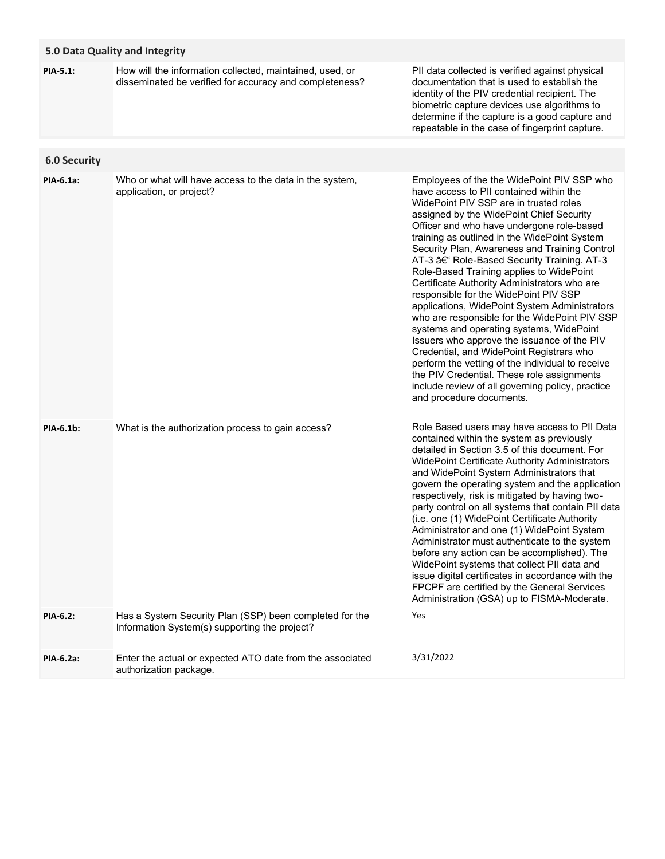|                     | 5.0 Data Quality and Integrity                                                                                      |                                                                                                                                                                                                                                                                                                                                                                                                                                                                                                                                                                                                                                                                                                                                                                                                                                                                                                                                        |
|---------------------|---------------------------------------------------------------------------------------------------------------------|----------------------------------------------------------------------------------------------------------------------------------------------------------------------------------------------------------------------------------------------------------------------------------------------------------------------------------------------------------------------------------------------------------------------------------------------------------------------------------------------------------------------------------------------------------------------------------------------------------------------------------------------------------------------------------------------------------------------------------------------------------------------------------------------------------------------------------------------------------------------------------------------------------------------------------------|
| <b>PIA-5.1:</b>     | How will the information collected, maintained, used, or<br>disseminated be verified for accuracy and completeness? | PII data collected is verified against physical<br>documentation that is used to establish the<br>identity of the PIV credential recipient. The<br>biometric capture devices use algorithms to<br>determine if the capture is a good capture and<br>repeatable in the case of fingerprint capture.                                                                                                                                                                                                                                                                                                                                                                                                                                                                                                                                                                                                                                     |
| <b>6.0 Security</b> |                                                                                                                     |                                                                                                                                                                                                                                                                                                                                                                                                                                                                                                                                                                                                                                                                                                                                                                                                                                                                                                                                        |
| PIA-6.1a:           | Who or what will have access to the data in the system,<br>application, or project?                                 | Employees of the the WidePoint PIV SSP who<br>have access to PII contained within the<br>WidePoint PIV SSP are in trusted roles<br>assigned by the WidePoint Chief Security<br>Officer and who have undergone role-based<br>training as outlined in the WidePoint System<br>Security Plan, Awareness and Training Control<br>AT-3 – Role-Based Security Training. AT-3<br>Role-Based Training applies to WidePoint<br>Certificate Authority Administrators who are<br>responsible for the WidePoint PIV SSP<br>applications, WidePoint System Administrators<br>who are responsible for the WidePoint PIV SSP<br>systems and operating systems, WidePoint<br>Issuers who approve the issuance of the PIV<br>Credential, and WidePoint Registrars who<br>perform the vetting of the individual to receive<br>the PIV Credential. These role assignments<br>include review of all governing policy, practice<br>and procedure documents. |
| <b>PIA-6.1b:</b>    | What is the authorization process to gain access?                                                                   | Role Based users may have access to PII Data<br>contained within the system as previously<br>detailed in Section 3.5 of this document. For<br>WidePoint Certificate Authority Administrators<br>and WidePoint System Administrators that<br>govern the operating system and the application<br>respectively, risk is mitigated by having two-<br>party control on all systems that contain PII data<br>(i.e. one (1) WidePoint Certificate Authority<br>Administrator and one (1) WidePoint System<br>Administrator must authenticate to the system<br>before any action can be accomplished). The<br>WidePoint systems that collect PII data and<br>issue digital certificates in accordance with the<br>FPCPF are certified by the General Services<br>Administration (GSA) up to FISMA-Moderate.                                                                                                                                    |
| PIA-6.2:            | Has a System Security Plan (SSP) been completed for the<br>Information System(s) supporting the project?            | Yes                                                                                                                                                                                                                                                                                                                                                                                                                                                                                                                                                                                                                                                                                                                                                                                                                                                                                                                                    |
| PIA-6.2a:           | Enter the actual or expected ATO date from the associated<br>authorization package.                                 | 3/31/2022                                                                                                                                                                                                                                                                                                                                                                                                                                                                                                                                                                                                                                                                                                                                                                                                                                                                                                                              |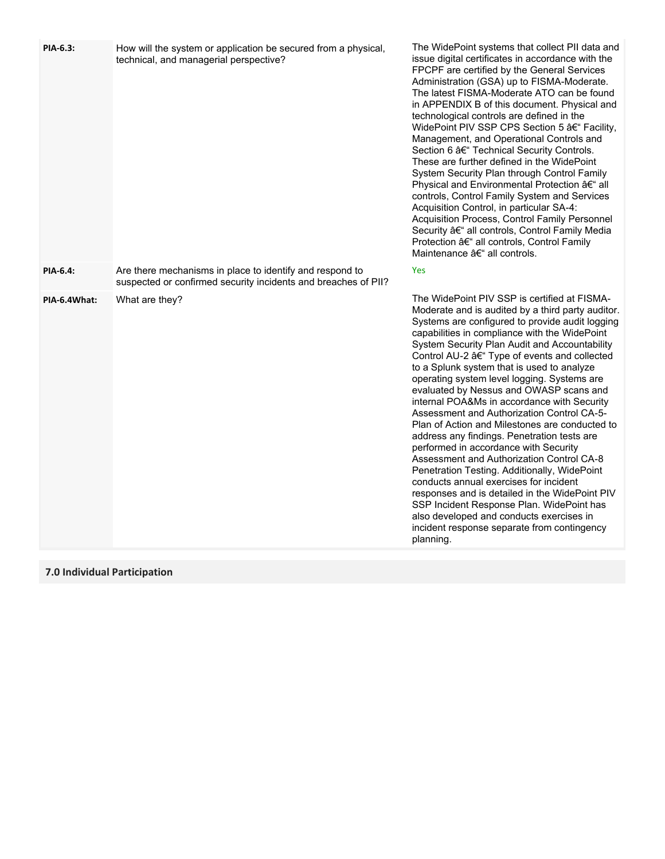| PIA-6.3:        | How will the system or application be secured from a physical,<br>technical, and managerial perspective?                   | The WidePoint systems that<br>issue digital certificates in ac<br>FPCPF are certified by the G<br>Administration (GSA) up to F<br>The latest FISMA-Moderate<br>in APPENDIX B of this docur<br>technological controls are de<br>WidePoint PIV SSP CPS Se<br>Management, and Operation<br>Section 6 – Technical Secu<br>These are further defined in t<br>System Security Plan throug<br>Physical and Environmental<br>controls, Control Family Syst<br>Acquisition Control, in particu<br>Acquisition Process, Control<br>Security – all controls, Con<br>Protection – all controls, Co<br>Maintenance – all controls.                                                                               |
|-----------------|----------------------------------------------------------------------------------------------------------------------------|-----------------------------------------------------------------------------------------------------------------------------------------------------------------------------------------------------------------------------------------------------------------------------------------------------------------------------------------------------------------------------------------------------------------------------------------------------------------------------------------------------------------------------------------------------------------------------------------------------------------------------------------------------------------------------------------------------|
| <b>PIA-6.4:</b> | Are there mechanisms in place to identify and respond to<br>suspected or confirmed security incidents and breaches of PII? | Yes                                                                                                                                                                                                                                                                                                                                                                                                                                                                                                                                                                                                                                                                                                 |
| PIA-6.4What:    | What are they?                                                                                                             | The WidePoint PIV SSP is co<br>Moderate and is audited by a<br>Systems are configured to pr<br>capabilities in compliance wit<br>System Security Plan Audit a<br>Control AU-2 – Type of eve<br>to a Splunk system that is us<br>operating system level loggin<br>evaluated by Nessus and OV<br>internal POA&Ms in accorda<br>Assessment and Authorizatio<br>Plan of Action and Milestone<br>address any findings. Penetr<br>performed in accordance witl<br>Assessment and Authorizatio<br>Penetration Testing. Addition<br>conducts annual exercises fo<br>responses and is detailed in<br>SSP Incident Response Plan<br>also developed and conducts<br>incident response separate fi<br>planning. |

# **7.0 Individual Participation**

collect PII data and cordance with the General Services FISMA-Moderate. ATO can be found ment. Physical and  $efined$  in the ction 5 – Facility, nal Controls and urity Controls. the WidePoint h Control Family Protection – all tem and Services ular SA-4: **Family Personnel** htrol Family Media ontrol Family

ertified at FISMAa third party auditor. rovide audit logging th the WidePoint and Accountability ents and collected ed to analyze ng. Systems are  $\overline{\text{W}}$ ASP scans and nce with Security on Control CA-5es are conducted to ration tests are h Security on Control CA-8 hally, WidePoint or incident the WidePoint PIV l. WidePoint has s exercises in rom contingency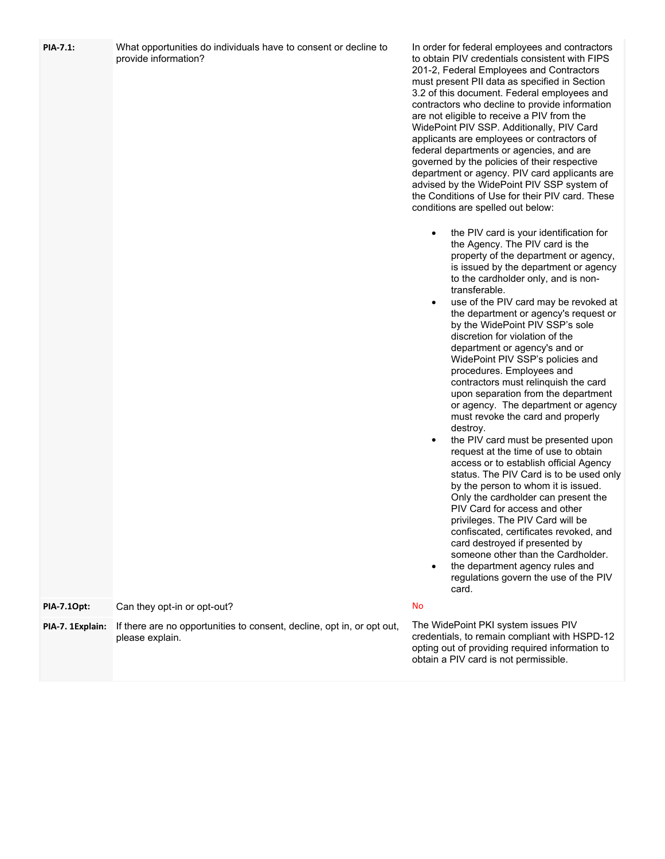| <b>PIA-7.1:</b>  | What opportunities do individuals have to consent or decline to<br>provide information?   | In order for federal employees and contractors<br>to obtain PIV credentials consistent with FIPS<br>201-2, Federal Employees and Contractors<br>must present PII data as specified in Section<br>3.2 of this document. Federal employees and<br>contractors who decline to provide information<br>are not eligible to receive a PIV from the<br>WidePoint PIV SSP. Additionally, PIV Card<br>applicants are employees or contractors of<br>federal departments or agencies, and are<br>governed by the policies of their respective<br>department or agency. PIV card applicants are<br>advised by the WidePoint PIV SSP system of<br>the Conditions of Use for their PIV card. These<br>conditions are spelled out below:<br>the PIV card is your identification for<br>٠<br>the Agency. The PIV card is the<br>property of the department or agency,<br>is issued by the department or agency<br>to the cardholder only, and is non-<br>transferable.<br>use of the PIV card may be revoked at<br>$\bullet$<br>the department or agency's request or<br>by the WidePoint PIV SSP's sole<br>discretion for violation of the<br>department or agency's and or<br>WidePoint PIV SSP's policies and<br>procedures. Employees and<br>contractors must relinquish the card<br>upon separation from the department<br>or agency. The department or agency<br>must revoke the card and properly<br>destroy.<br>the PIV card must be presented upon<br>$\bullet$<br>request at the time of use to obtain<br>access or to establish official Agency<br>status. The PIV Card is to be used only<br>by the person to whom it is issued.<br>Only the cardholder can present the<br>PIV Card for access and other<br>privileges. The PIV Card will be<br>confiscated, certificates revoked, and<br>card destroyed if presented by<br>someone other than the Cardholder.<br>the department agency rules and<br>٠<br>regulations govern the use of the PIV<br>card. |
|------------------|-------------------------------------------------------------------------------------------|-------------------------------------------------------------------------------------------------------------------------------------------------------------------------------------------------------------------------------------------------------------------------------------------------------------------------------------------------------------------------------------------------------------------------------------------------------------------------------------------------------------------------------------------------------------------------------------------------------------------------------------------------------------------------------------------------------------------------------------------------------------------------------------------------------------------------------------------------------------------------------------------------------------------------------------------------------------------------------------------------------------------------------------------------------------------------------------------------------------------------------------------------------------------------------------------------------------------------------------------------------------------------------------------------------------------------------------------------------------------------------------------------------------------------------------------------------------------------------------------------------------------------------------------------------------------------------------------------------------------------------------------------------------------------------------------------------------------------------------------------------------------------------------------------------------------------------------------------------------------------------------------------------------------------------------------------------|
| PIA-7.10pt:      | Can they opt-in or opt-out?                                                               | <b>No</b>                                                                                                                                                                                                                                                                                                                                                                                                                                                                                                                                                                                                                                                                                                                                                                                                                                                                                                                                                                                                                                                                                                                                                                                                                                                                                                                                                                                                                                                                                                                                                                                                                                                                                                                                                                                                                                                                                                                                             |
| PIA-7. 1Explain: | If there are no opportunities to consent, decline, opt in, or opt out,<br>please explain. | The WidePoint PKI system issues PIV<br>credentials, to remain compliant with HSPD-12<br>opting out of providing required information to<br>obtain a PIV card is not permissible.                                                                                                                                                                                                                                                                                                                                                                                                                                                                                                                                                                                                                                                                                                                                                                                                                                                                                                                                                                                                                                                                                                                                                                                                                                                                                                                                                                                                                                                                                                                                                                                                                                                                                                                                                                      |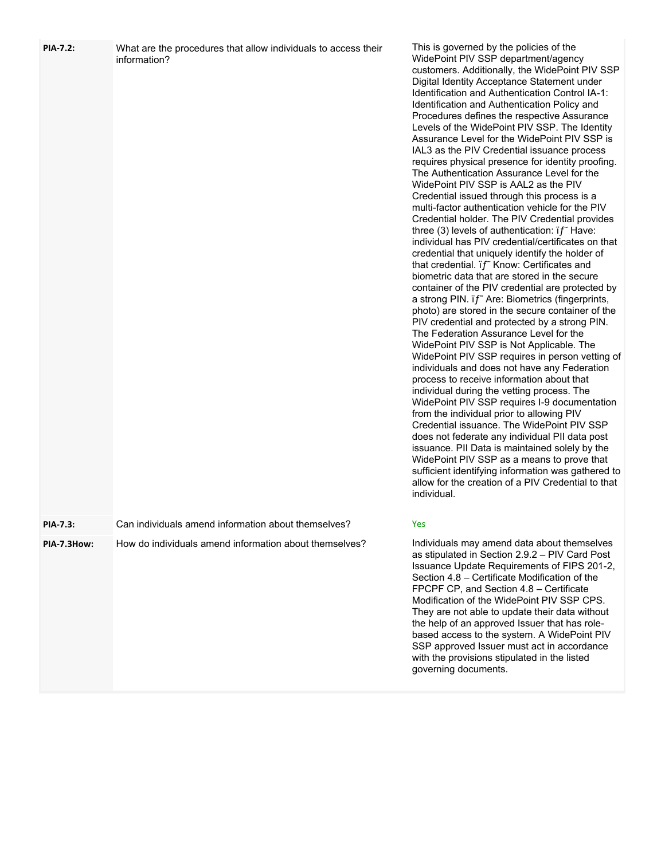| <b>PIA-7.2:</b> | What are the procedures that allow individuals to access their<br>information? | This is governed by the policies of the<br>WidePoint PIV SSP department/agency<br>customers. Additionally, the WidePoint PIV SSP<br>Digital Identity Acceptance Statement under<br>Identification and Authentication Control IA-1:<br>Identification and Authentication Policy and<br>Procedures defines the respective Assurance<br>Levels of the WidePoint PIV SSP. The Identity<br>Assurance Level for the WidePoint PIV SSP is<br>IAL3 as the PIV Credential issuance process<br>requires physical presence for identity proofing.<br>The Authentication Assurance Level for the<br>WidePoint PIV SSP is AAL2 as the PIV<br>Credential issued through this process is a<br>multi-factor authentication vehicle for the PIV<br>Credential holder. The PIV Credential provides<br>three (3) levels of authentication: $if$ Have:<br>individual has PIV credential/certificates on that<br>credential that uniquely identify the holder of<br>that credential. if Know: Certificates and<br>biometric data that are stored in the secure<br>container of the PIV credential are protected by<br>a strong PIN. if" Are: Biometrics (fingerprints,<br>photo) are stored in the secure container of the<br>PIV credential and protected by a strong PIN.<br>The Federation Assurance Level for the<br>WidePoint PIV SSP is Not Applicable. The<br>WidePoint PIV SSP requires in person vetting of<br>individuals and does not have any Federation<br>process to receive information about that<br>individual during the vetting process. The<br>WidePoint PIV SSP requires I-9 documentation<br>from the individual prior to allowing PIV<br>Credential issuance. The WidePoint PIV SSP<br>does not federate any individual PII data post<br>issuance. PII Data is maintained solely by the<br>WidePoint PIV SSP as a means to prove that<br>sufficient identifying information was gathered to<br>allow for the creation of a PIV Credential to that<br>individual. |
|-----------------|--------------------------------------------------------------------------------|--------------------------------------------------------------------------------------------------------------------------------------------------------------------------------------------------------------------------------------------------------------------------------------------------------------------------------------------------------------------------------------------------------------------------------------------------------------------------------------------------------------------------------------------------------------------------------------------------------------------------------------------------------------------------------------------------------------------------------------------------------------------------------------------------------------------------------------------------------------------------------------------------------------------------------------------------------------------------------------------------------------------------------------------------------------------------------------------------------------------------------------------------------------------------------------------------------------------------------------------------------------------------------------------------------------------------------------------------------------------------------------------------------------------------------------------------------------------------------------------------------------------------------------------------------------------------------------------------------------------------------------------------------------------------------------------------------------------------------------------------------------------------------------------------------------------------------------------------------------------------------------------------------------------------------------------------------------------|
| <b>PIA-7.3:</b> | Can individuals amend information about themselves?                            | Yes                                                                                                                                                                                                                                                                                                                                                                                                                                                                                                                                                                                                                                                                                                                                                                                                                                                                                                                                                                                                                                                                                                                                                                                                                                                                                                                                                                                                                                                                                                                                                                                                                                                                                                                                                                                                                                                                                                                                                                |
| PIA-7.3How:     | How do individuals amend information about themselves?                         | Individuals may amend data about themselves<br>as stipulated in Section 2.9.2 - PIV Card Post<br>Issuance Update Requirements of FIPS 201-2,<br>Section 4.8 - Certificate Modification of the<br>FPCPF CP, and Section 4.8 - Certificate<br>Modification of the WidePoint PIV SSP CPS.<br>They are not able to update their data without<br>the help of an approved Issuer that has role-<br>based access to the system. A WidePoint PIV<br>SSP approved Issuer must act in accordance<br>with the provisions stipulated in the listed<br>governing documents.                                                                                                                                                                                                                                                                                                                                                                                                                                                                                                                                                                                                                                                                                                                                                                                                                                                                                                                                                                                                                                                                                                                                                                                                                                                                                                                                                                                                     |